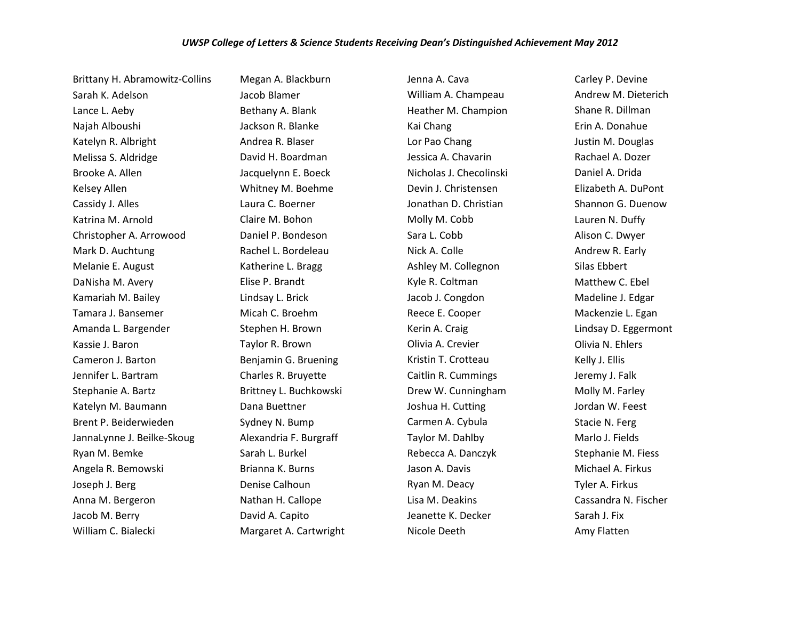Brittany H. Abramowitz-Collins Sarah K. Adelson Lance L. Aeby Najah Alboushi Katelyn R. Albright Melissa S. Aldridge Brooke A. Allen Kelsey Allen Cassidy J. Alles Katrina M. Arnold Christopher A. Arrowood Mark D. Auchtung Melanie E. August DaNisha M. Avery Kamariah M. Bailey Tamara J. Bansemer Amanda L. Bargender Kassie J. Baron Cameron J. Barton Jennifer L. Bartram Stephanie A. Bartz Katelyn M. Baumann Brent P. Beiderwieden JannaLynne J. Beilke-Skoug Ryan M. Bemke Angela R. Bemowski Joseph J. Berg Anna M. Bergeron Jacob M. Berry William C. Bialecki

Megan A. Blackburn Jacob Blamer Bethany A. Blank Jackson R. Blanke Andrea R. Blaser David H. Boardman Jacquelynn E. Boeck Whitney M. Boehme Laura C. Boerner Claire M. Bohon Daniel P. Bondeson Rachel L. Bordeleau Katherine L. Bragg Elise P. Brandt Lindsay L. Brick Micah C. Broehm Stephen H. Brown Taylor R. Brown Benjamin G. Bruening Charles R. Bruyette Brittney L. Buchkowski Dana Buettner Sydney N. Bump Alexandria F. Burgraff Sarah L. Burkel Brianna K. Burns Denise Calhoun Nathan H. Callope David A. Capito Margaret A. Cartwright Jenna A. Cava William A. Champeau Heather M. Champion Kai Chang Lor Pao Chang Jessica A. Chavarin Nicholas J. Checolinski Devin J. Christensen Jonathan D. Christian Molly M. Cobb Sara L. Cobb Nick A. Colle Ashley M. Collegnon Kyle R. Coltman Jacob J. Congdon Reece E. Cooper Kerin A. Craig Olivia A. Crevier Kristin T. Crotteau Caitlin R. Cummings Drew W. Cunningham Joshua H. Cutting Carmen A. Cybula Taylor M. Dahlby Rebecca A. Danczyk Jason A. Davis Ryan M. Deacy Lisa M. Deakins Jeanette K. Decker Nicole Deeth

Carley P. Devine Andrew M. Dieterich Shane R. Dillman Erin A. Donahue Justin M. Douglas Rachael A. Dozer Daniel A. Drida Elizabeth A. DuPont Shannon G. Duenow Lauren N. Duffy Alison C. Dwyer Andrew R. Early Silas Ebbert Matthew C. Ebel Madeline J. Edgar Mackenzie L. Egan Lindsay D. Eggermont Olivia N. Ehlers Kelly J. Ellis Jeremy J. Falk Molly M. Farley Jordan W. Feest Stacie N. Ferg Marlo J. Fields Stephanie M. Fiess Michael A. Firkus Tyler A. Firkus Cassandra N. Fischer Sarah J. Fix Amy Flatten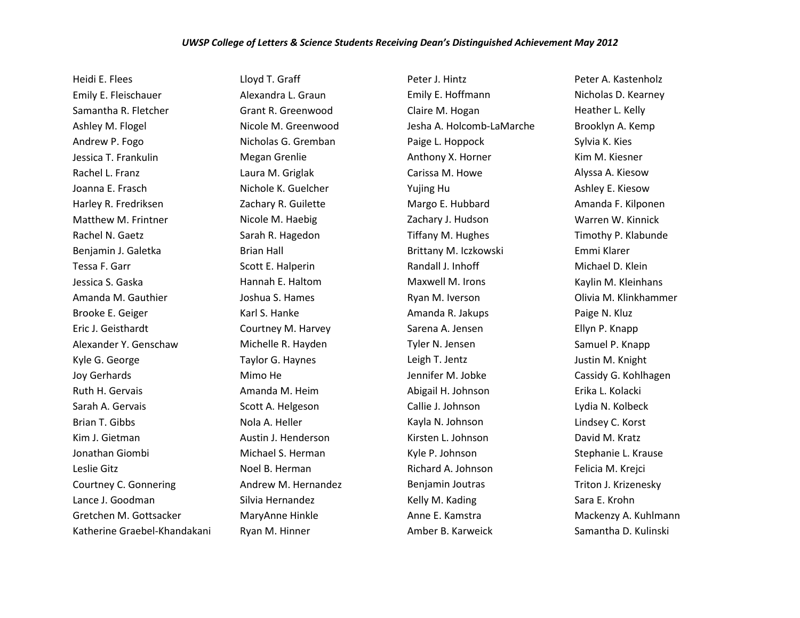Heidi E. Flees Emily E. Fleischauer Samantha R. Fletcher Ashley M. Flogel Andrew P. Fogo Jessica T. Frankulin Rachel L. Franz Joanna E. Frasch Harley R. Fredriksen Matthew M. Frintner Rachel N. Gaetz Benjamin J. Galetka Tessa F. Garr Jessica S. Gaska Amanda M. Gauthier Brooke E. Geiger Eric J. Geisthardt Alexander Y. Genschaw Kyle G. George Joy Gerhards Ruth H. Gervais Sarah A. Gervais Brian T. Gibbs Kim J. Gietman Jonathan Giombi Leslie Gitz Courtney C. Gonnering Lance J. Goodman Gretchen M. Gottsacker Katherine Graebel-Khandakani Lloyd T. Graff Alexandra L. Graun Grant R. Greenwood Nicole M. Greenwood Nicholas G. Gremban Megan Grenlie Laura M. Griglak Nichole K. Guelcher Zachary R. Guilette Nicole M. Haebig Sarah R. Hagedon Brian Hall Scott E. Halperin Hannah E. Haltom Joshua S. Hames Karl S. Hanke Courtney M. Harvey Michelle R. Hayden Taylor G. Haynes Mimo He Amanda M. Heim Scott A. Helgeson Nola A. Heller Austin J. Henderson Michael S. Herman Noel B. Herman Andrew M. Hernandez Silvia Hernandez MaryAnne Hinkle Ryan M. Hinner

Peter J. Hintz Emily E. Hoffmann Claire M. Hogan Jesha A. Holcomb-LaMarche Paige L. Hoppock Anthony X. Horner Carissa M. Howe Yujing Hu Margo E. Hubbard Zachary J. Hudson Tiffany M. Hughes Brittany M. Iczkowski Randall J. Inhoff Maxwell M. Irons Ryan M. Iverson Amanda R. Jakups Sarena A. Jensen Tyler N. Jensen Leigh T. Jentz Jennifer M. Jobke Abigail H. Johnson Callie J. Johnson Kayla N. Johnson Kirsten L. Johnson Kyle P. Johnson Richard A. Johnson Benjamin Joutras Kelly M. Kading Anne E. Kamstra Amber B. Karweick

Peter A. Kastenholz Nicholas D. Kearney Heather L. Kelly Brooklyn A. Kemp Sylvia K. Kies Kim M. Kiesner Alyssa A. Kiesow Ashley E. Kiesow Amanda F. Kilponen Warren W. Kinnick Timothy P. Klabunde Emmi Klarer Michael D. Klein Kaylin M. Kleinhans Olivia M. Klinkhammer Paige N. Kluz Ellyn P. Knapp Samuel P. Knapp Justin M. Knight Cassidy G. Kohlhagen Erika L. Kolacki Lydia N. Kolbeck Lindsey C. Korst David M. Kratz Stephanie L. Krause Felicia M. Krejci Triton J. Krizenesky Sara E. Krohn Mackenzy A. Kuhlmann Samantha D. Kulinski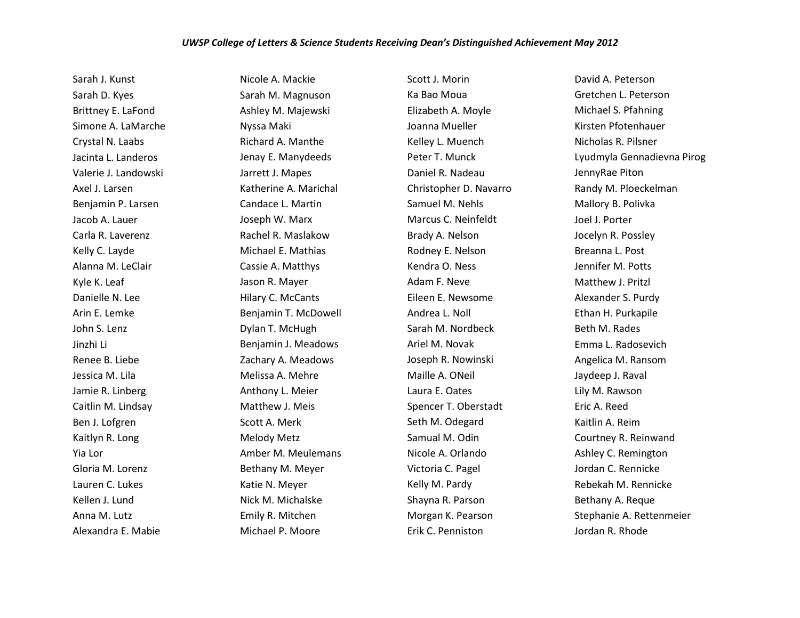## *UWSP College of Letters & Science Students Receiving Dean's Distinguished Achievement May 2012*

Sarah J. Kunst Sarah D. Kyes Brittney E. LaFond Simone A. LaMarche Crystal N. Laabs Jacinta L. Landeros Valerie J. Landowski Axel J. Larsen Benjamin P. Larsen Jacob A. Lauer Carla R. Laverenz Kelly C. Layde Alanna M. LeClair Kyle K. Leaf Danielle N. Lee Arin E. Lemke John S. Lenz Jinzhi Li Renee B. Liebe Jessica M. Lila Jamie R. Linberg Caitlin M. Lindsay Ben J. Lofgren Kaitlyn R. Long Yia Lor Gloria M. Lorenz Lauren C. Lukes Kellen J. Lund Anna M. Lutz Alexandra E. Mabie

Nicole A. Mackie Sarah M. Magnuson Ashley M. Majewski Nyssa Maki Richard A. Manthe Jenay E. Manydeeds Jarrett J. Mapes Katherine A. Marichal Candace L. Martin Joseph W. Marx Rachel R. Maslakow Michael E. Mathias Cassie A. Matthys Jason R. Mayer Hilary C. McCants Benjamin T. McDowell Dylan T. McHugh Benjamin J. Meadows Zachary A. Meadows Melissa A. Mehre Anthony L. Meier Matthew J. Meis Scott A. Merk Melody Metz Amber M. Meulemans Bethany M. Meyer Katie N. Meyer Nick M. Michalske Emily R. Mitchen Michael P. Moore

Scott J. Morin Ka Bao Moua Elizabeth A. Moyle Joanna Mueller Kelley L. Muench Peter T. Munck Daniel R. Nadeau Christopher D. Navarro Samuel M. Nehls Marcus C. Neinfeldt Brady A. Nelson Rodney E. Nelson Kendra O. Ness Adam F. Neve Eileen E. Newsome Andrea L. Noll Sarah M. Nordbeck Ariel M. Novak Joseph R. Nowinski Maille A. ONeil Laura E. Oates Spencer T. Oberstadt Seth M. Odegard Samual M. Odin Nicole A. Orlando Victoria C. Pagel Kelly M. Pardy Shayna R. Parson Morgan K. Pearson Erik C. Penniston

David A. Peterson Gretchen L. Peterson Michael S. Pfahning Kirsten Pfotenhauer Nicholas R. Pilsner Lyudmyla Gennadievna Pirog JennyRae Piton Randy M. Ploeckelman Mallory B. Polivka Joel J. Porter Jocelyn R. Possley Breanna L. Post Jennifer M. Potts Matthew J. Pritzl Alexander S. Purdy Ethan H. Purkapile Beth M. Rades Emma L. Radosevich Angelica M. Ransom Jaydeep J. Raval Lily M. Rawson Eric A. Reed Kaitlin A. Reim Courtney R. Reinwand Ashley C. Remington Jordan C. Rennicke Rebekah M. Rennicke Bethany A. Reque Stephanie A. Rettenmeier Jordan R. Rhode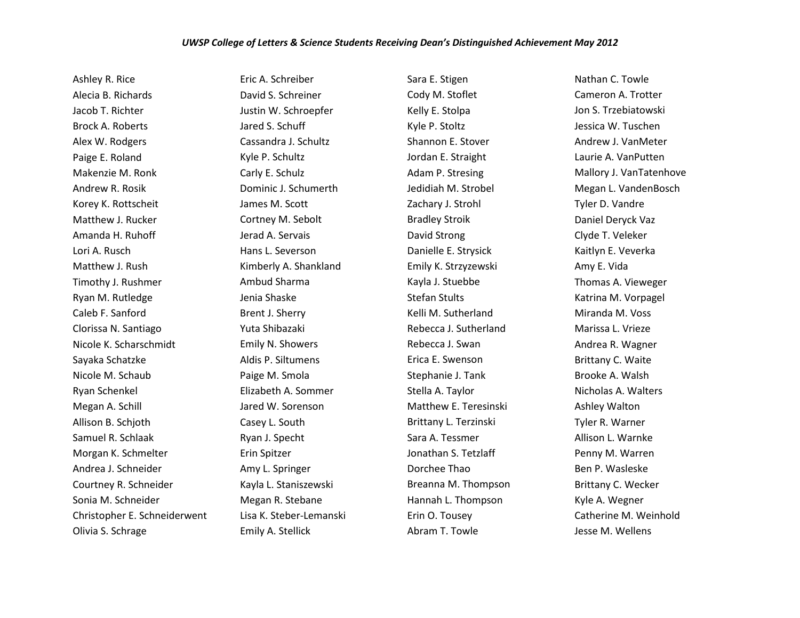## *UWSP College of Letters & Science Students Receiving Dean's Distinguished Achievement May 2012*

Ashley R. Rice Alecia B. Richards Jacob T. Richter Brock A. Roberts Alex W. Rodgers Paige E. Roland Makenzie M. Ronk Andrew R. Rosik Korey K. Rottscheit Matthew J. Rucker Amanda H. Ruhoff Lori A. Rusch Matthew J. Rush Timothy J. Rushmer Ryan M. Rutledge Caleb F. Sanford Clorissa N. Santiago Nicole K. Scharschmidt Sayaka Schatzke Nicole M. Schaub Ryan Schenkel Megan A. Schill Allison B. Schjoth Samuel R. Schlaak Morgan K. Schmelter Andrea J. Schneider Courtney R. Schneider Sonia M. Schneider Christopher E. Schneiderwent Olivia S. Schrage

Eric A. Schreiber David S. Schreiner Justin W. Schroepfer Jared S. Schuff Cassandra J. Schultz Kyle P. Schultz Carly E. Schulz Dominic J. Schumerth James M. Scott Cortney M. Sebolt Jerad A. Servais Hans L. Severson Kimberly A. Shankland Ambud Sharma Jenia Shaske Brent J. Sherry Yuta Shibazaki Emily N. Showers Aldis P. Siltumens Paige M. Smola Elizabeth A. Sommer Jared W. Sorenson Casey L. South Ryan J. Specht Erin Spitzer Amy L. Springer Kayla L. Staniszewski Megan R. Stebane Lisa K. Steber-Lemanski Emily A. Stellick

Sara E. Stigen Cody M. Stoflet Kelly E. Stolpa Kyle P. Stoltz Shannon E. Stover Jordan E. Straight Adam P. Stresing Jedidiah M. Strobel Zachary J. Strohl Bradley Stroik David Strong Danielle E. Strysick Emily K. Strzyzewski Kayla J. Stuebbe Stefan Stults Kelli M. Sutherland Rebecca J. Sutherland Rebecca J. Swan Erica E. Swenson Stephanie J. Tank Stella A. Taylor Matthew E. Teresinski Brittany L. Terzinski Sara A. Tessmer Jonathan S. Tetzlaff Dorchee Thao Breanna M. Thompson Hannah L. Thompson Erin O. Tousey Abram T. Towle

Nathan C. Towle Cameron A. Trotter Jon S. Trzebiatowski Jessica W. Tuschen Andrew J. VanMeter Laurie A. VanPutten Mallory J. VanTatenhove Megan L. VandenBosch Tyler D. Vandre Daniel Deryck Vaz Clyde T. Veleker Kaitlyn E. Veverka Amy E. Vida Thomas A. Vieweger Katrina M. Vorpagel Miranda M. Voss Marissa L. Vrieze Andrea R. Wagner Brittany C. Waite Brooke A. Walsh Nicholas A. Walters Ashley Walton Tyler R. Warner Allison L. Warnke Penny M. Warren Ben P. Wasleske Brittany C. Wecker Kyle A. Wegner Catherine M. Weinhold Jesse M. Wellens